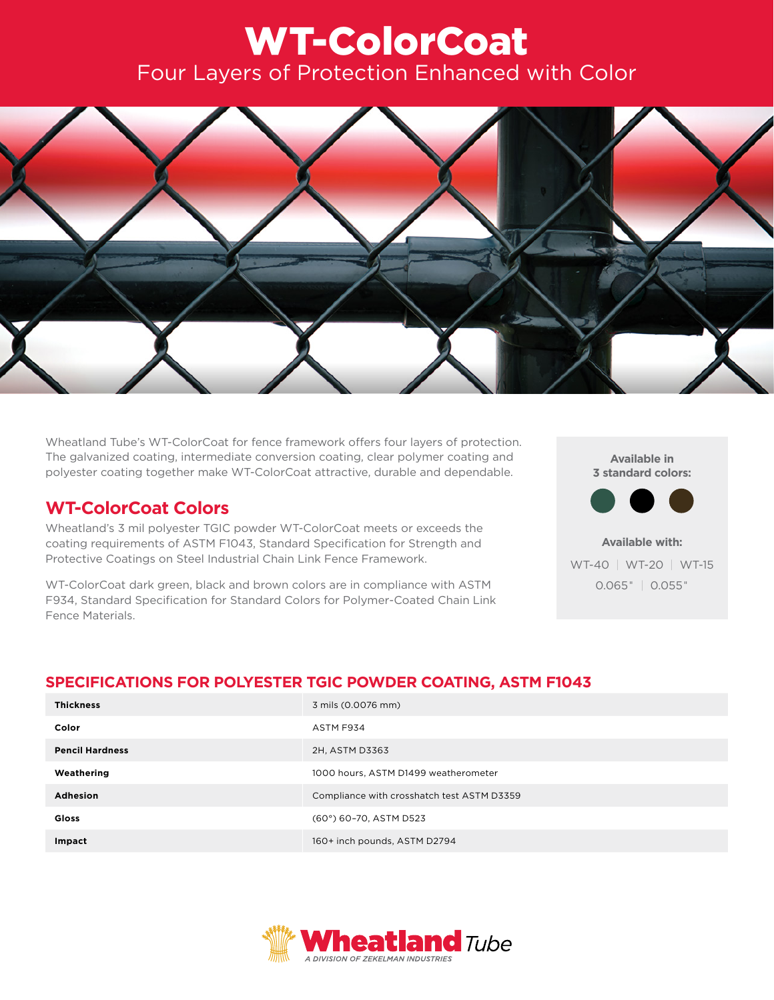# WT-ColorCoat Four Layers of Protection Enhanced with Color



Wheatland Tube's WT-ColorCoat for fence framework offers four layers of protection. The galvanized coating, intermediate conversion coating, clear polymer coating and polyester coating together make WT-ColorCoat attractive, durable and dependable.

## **WT-ColorCoat Colors**

Wheatland's 3 mil polyester TGIC powder WT-ColorCoat meets or exceeds the coating requirements of ASTM F1043, Standard Specification for Strength and Protective Coatings on Steel Industrial Chain Link Fence Framework.

WT-ColorCoat dark green, black and brown colors are in compliance with ASTM F934, Standard Specification for Standard Colors for Polymer-Coated Chain Link Fence Materials.

**Available in 3 standard colors:**



**Available with:** WT-40 | WT-20 | WT-15 0.065" | 0.055"

## **SPECIFICATIONS FOR POLYESTER TGIC POWDER COATING, ASTM F1043**

| <b>Thickness</b>       | 3 mils (0.0076 mm)                         |
|------------------------|--------------------------------------------|
| Color                  | ASTM F934                                  |
| <b>Pencil Hardness</b> | 2H, ASTM D3363                             |
| Weathering             | 1000 hours, ASTM D1499 weatherometer       |
| Adhesion               | Compliance with crosshatch test ASTM D3359 |
| Gloss                  | (60°) 60-70, ASTM D523                     |
| Impact                 | 160+ inch pounds, ASTM D2794               |